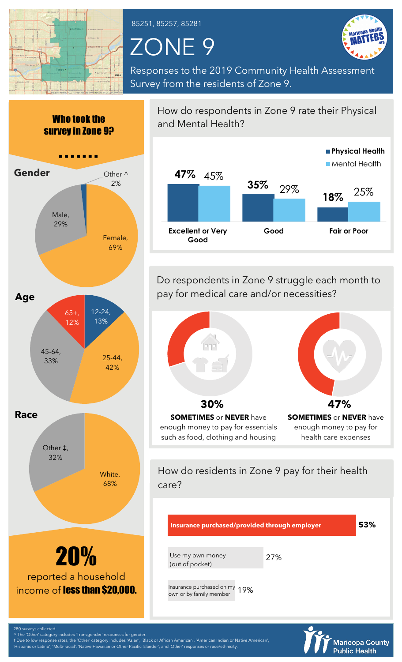

Who took the

85251, 85257, 85281

## ZONE 9

**Good**



Responses to the 2019 Community Health Assessment Survey from the residents of Zone 9.



and Mental Health? **47%** 45% **35% 18%** 29% 25% **Excellent or Very Good Fair or Poor Physical Health Mental Health** 

How do respondents in Zone 9 rate their Physical

Do respondents in Zone 9 struggle each month to pay for medical care and/or necessities?



How do residents in Zone 9 pay for their health care?



280 surveys collected

The 'Other' category includes 'Transgender' responses for gender. ‡ Due to low response rates, the 'Other' category includes 'Asian', 'Black or African American', 'American Indian or Native American',

'Hispanic or Latino', 'Multi-racial', 'Native Hawaiian or Other Pacific Islander', and 'Other' responses or race/ethnicity.